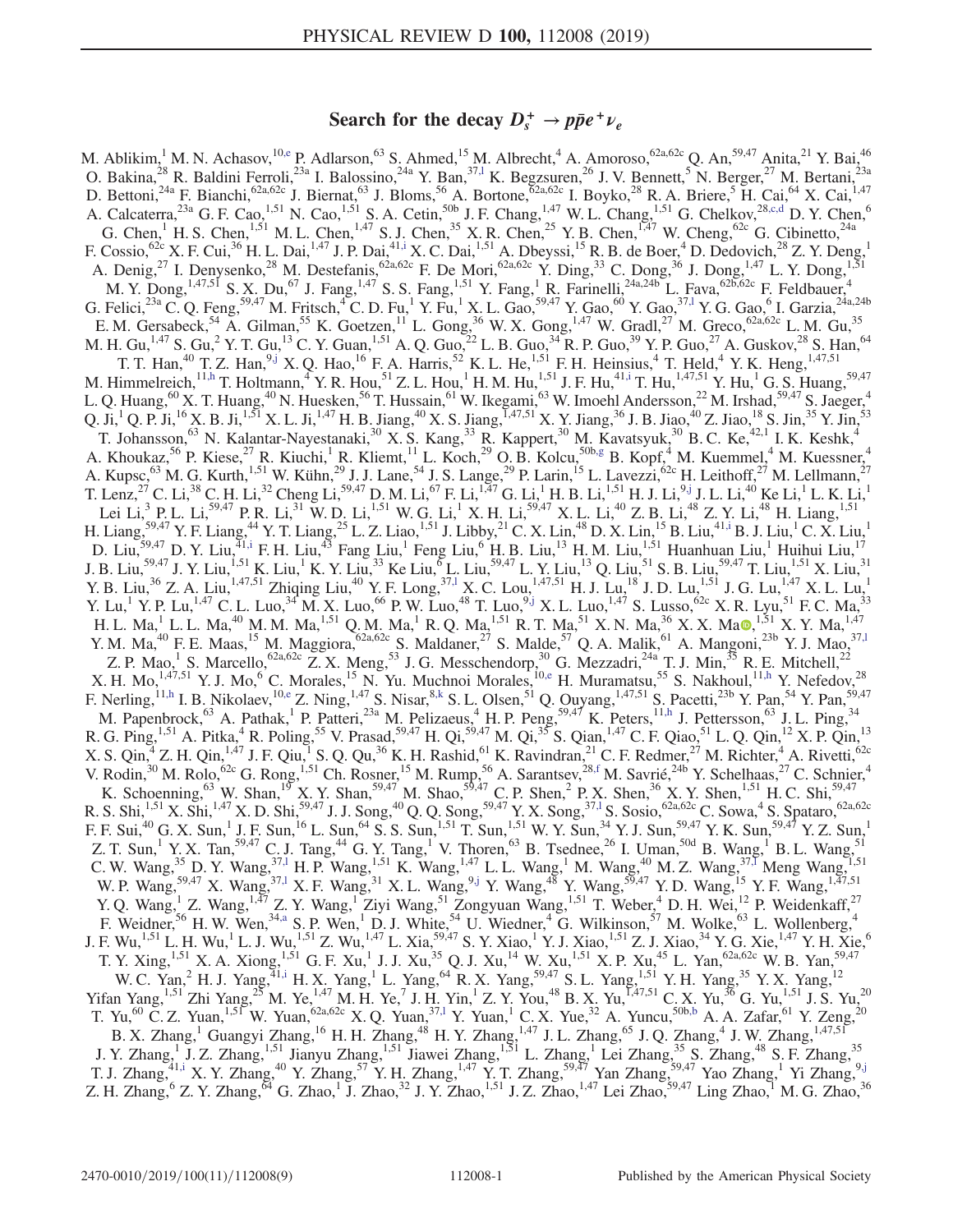# Search for the decay  $D_s^+ \rightarrow p\bar{p}e^+\nu_e$

<span id="page-0-7"></span><span id="page-0-6"></span><span id="page-0-5"></span><span id="page-0-4"></span><span id="page-0-3"></span><span id="page-0-2"></span><span id="page-0-1"></span><span id="page-0-0"></span>M. Ablikim,<sup>1</sup> M. N. Achasov,<sup>1[0,e](#page-2-0)</sup> P. Adlarson,<sup>63</sup> S. Ahmed,<sup>15</sup> M. Albrecht,<sup>4</sup> A. Amoroso,<sup>62a,62c</sup> Q. An,<sup>59,47</sup> Anita,<sup>21</sup> Y. Bai,<sup>46</sup> O. Bakina,  $^{28}$  R. Baldini Ferroli,  $^{23a}$  I. Balossino,  $^{24a}$  Y. Ban,  $^{37,1}$  K. Begzsuren,  $^{26}$  J. V. Bennett,  $^5$  N. Berger,  $^{27}$  M. Bertani,  $^{23a}$ D. Bettoni,<sup>24a</sup> F. Bianchi,<sup>62a,62c</sup> J. Biernat,<sup>63</sup> J. Bloms,<sup>56</sup> A. Bortone,<sup>62a,62c</sup> I. Boyko,<sup>28</sup> R. A. Briere,<sup>5</sup> H. Cai,<sup>64</sup> X. Cai,<sup>1,47</sup> A. Calcaterra,  $^{23a}$  G. F. Cao,  $^{1,51}$  N. Cao,  $^{1,51}$  S. A. Cetin,  $^{50b}$  J. F. Chang,  $^{1,47}$  W. L. Chang,  $^{1,51}$  G. Chelkov,  $^{28,c,d}$  $^{28,c,d}$  $^{28,c,d}$  D. Y. Chen,  $^6$ G. Chen, <sup>1</sup> H. S. Chen,<sup>1,51</sup> M. L. Chen,<sup>1,47</sup> S. J. Chen,<sup>35</sup> X. R. Chen,<sup>25</sup> Y. B. Chen,<sup>1,47</sup> W. Cheng,<sup>62c</sup> G. Cibinetto,<sup>24a</sup> F. Cossio,  $62c$  X. F. Cui,  $36$  H. L. Dai,  $1.47$  J. P. Dai,  $41.1$  X. C. Dai,  $1.51$  A. Dbeyssi,  $15$  R. B. de Boer,  $4$  D. Dedovich,  $28$  Z. Y. Deng,  $1$ A. Denig,<sup>27</sup> I. Denysenko,<sup>28</sup> M. Destefanis,<sup>62a,62c</sup> F. De Mori,<sup>62a,62c</sup> Y. Ding,<sup>33</sup> C. Dong,<sup>36</sup> J. Dong,<sup>1,47</sup> L. Y. Dong,<sup>1,51</sup> M. Y. Dong,  $^{1,47,51}$  S. X. Du,  $^{67}$  J. Fang,  $^{1,47}$  S. S. Fang,  $^{1,51}$  Y. Fang,  $^{1}$  R. Farinelli,  $^{24a,24b}$  L. Fava,  $^{62b,62c}$  F. Feldbauer,  $^{4}$ G. Felici,  $^{23a}$  C. Q. Feng,  $^{59,47}$  M. Fritsch,  $^{4}$  C. D. Fu,  $^{1}$  Y. Fu,  $^{1}$  X. L. Gao,  $^{59,47}$  Y. Gao,  $^{60}$  Y. Gao,  $^{57,1}$  Y. G. Gao,  $^{6}$  I. Garzia,  $^{24a,24b}$ E. M. Gersabeck,  $^{54}$  A. Gilman,  $^{55}$  K. Goetzen,  $^{11}$  L. Gong,  $^{36}$  W. X. Gong,  $^{1,47}$  W. Gradl,  $^{27}$  M. Greco,  $^{62a,62c}$  L. M. Gu,  $^{35}$ M. H. Gu,  $^{1,47}$  S. Gu,  $^2$  Y. T. Gu,  $^{13}$  C. Y. Guan,  $^{1,51}$  A. Q. Guo,  $^{22}$  L. B. Guo,  $^{34}$  R. P. Guo,  $^{39}$  Y. P. Guo,  $^{27}$  A. Guskov,  $^{28}$  S. Han,  $^{64}$ T. T. Han,<sup>40</sup> T. Z. Han,<sup>9[,j](#page-2-4)</sup> X. Q. Hao,<sup>16</sup> F. A. Harris,<sup>52</sup> K. L. He,<sup>1,51</sup> F. H. Heinsius,<sup>4</sup> T. Held,<sup>4</sup> Y. K. Heng,<sup>1,47,51</sup> M. Himmelreich,<sup>1[1,h](#page-2-5)</sup> T. Holtmann,<sup>4</sup> Y. R. Hou,<sup>51</sup> Z. L. Hou,<sup>1</sup> H. M. Hu,<sup>1,51</sup> J. F. Hu,<sup>41[,i](#page-2-3)</sup> T. Hu,<sup>1,47,51</sup> Y. Hu,<sup>1</sup> G. S. Huang,<sup>59,47</sup> L. Q. Huang, $^{60}$  X. T. Huang, $^{40}$  N. Huesken, $^{56}$  T. Hussain, $^{61}$  W. Ikegami, $^{63}$  W. Imoehl Andersson, $^{22}$  M. Irshad, $^{59,47}$  S. Jaeger, $^{4}$ Q. Ji,<sup>1</sup> Q. P. Ji,<sup>16</sup> X. B. Ji,<sup>1,51</sup> X. L. Ji,<sup>1,47</sup> H. B. Jiang,<sup>40</sup> X. S. Jiang,<sup>1,47,51</sup> X. Y. Jiang,<sup>36</sup> J. B. Jiao,<sup>40</sup> Z. Jiao,<sup>18</sup> S. Jin,<sup>35</sup> Y. Jin,<sup>53</sup> T. Johansson,<sup>63</sup> N. Kalantar-Nayestanaki,<sup>30</sup> X. S. Kang,<sup>33</sup> R. Kappert,<sup>30</sup> M. Kavatsyuk,<sup>30</sup> B. C. Ke,<sup>42,1</sup> I. K. Keshk,<sup>4</sup> A. Khoukaz,  $^{56}$  P. Kiese,  $^{27}$  R. Kiuchi, <sup>1</sup> R. Kliemt,  $^{11}$  L. Koch,  $^{29}$  O. B. Kolcu,  $^{50b,g}$  $^{50b,g}$  $^{50b,g}$  B. Kopf,  $^{4}$  M. Kuemmel,  $^{4}$  M. Kuessner,  $^{4}$ A. Kupsc,<sup>63</sup> M. G. Kurth,<sup>1,51</sup> W. Kühn,<sup>29</sup> J. J. Lane,<sup>54</sup> J. S. Lange,<sup>29</sup> P. Larin,<sup>15</sup> L. Lavezzi,<sup>62c</sup> H. Leithoff,<sup>27</sup> M. Lellmann,<sup>27</sup> T. Lenz,<sup>27</sup> C. Li,<sup>38</sup> C. H. Li,<sup>32</sup> Cheng Li,<sup>59,47</sup> D. M. Li,<sup>67</sup> F. Li,<sup>1,47</sup> G. Li,<sup>1</sup> H. B. Li,<sup>1,51</sup> H. J. Li,<sup>9[,j](#page-2-4)</sup> J. L. Li,<sup>40</sup> Ke Li,<sup>1</sup> L. K. Li,<sup>1</sup> Lei Li,<sup>3</sup> P. L. Li,<sup>59,47</sup> P. R. Li,<sup>31</sup> W. D. Li,<sup>1,51</sup> W. G. Li,<sup>1</sup> X. H. Li,<sup>59,47</sup> X. L. Li,<sup>40</sup> Z. B. Li,<sup>48</sup> Z. Y. Li,<sup>48</sup> H. Liang,<sup>1,51</sup> H. Liang,<sup>59,47</sup> Y. F. Liang,<sup>44</sup> Y. T. Liang,<sup>25</sup> L. Z. Liao,<sup>1,51</sup> J. Libby,<sup>21</sup> C. X. Lin,<sup>48</sup> D. X. Lin,<sup>15</sup> B. Liu,<sup>4[1,i](#page-2-3)</sup> B. J. Liu,<sup>1</sup> C. X. Liu,<sup>1</sup> D. Liu,<sup>59,47</sup> D. Y. Liu,<sup>41[,i](#page-2-3)</sup> F. H. Liu,<sup>43</sup> Fang Liu,<sup>1</sup> Feng Liu,<sup>6</sup> H. B. Liu,<sup>13</sup> H. M. Liu,<sup>151</sup> Huanhuan Liu,<sup>1</sup> Huihui Liu,<sup>17</sup> J. B. Liu,<sup>59,47</sup> J. Y. Liu,<sup>1,51</sup> K. Liu,<sup>1</sup> K. Y. Liu,<sup>33</sup> Ke Liu,<sup>6</sup> L. Liu,<sup>59,47</sup> L. Y. Liu,<sup>13</sup> Q. Liu,<sup>51</sup> S. B. Liu,<sup>59,47</sup> T. Liu,<sup>1,51</sup> X. Liu,<sup>31</sup> Y. B. Liu,<sup>36</sup> Z. A. Liu,<sup>1,47,51</sup> Zhiqing Liu,<sup>40</sup> Y. F. Long,<sup>37,1</sup> X. C. Lou,<sup>1,47,51</sup> H. J. Lu,<sup>18</sup> J. D. Lu,<sup>1,51</sup> J. G. Lu,<sup>1,47</sup> X. L. Lu,<sup>1</sup> Y. Lu,<sup>1</sup> Y. P. Lu,<sup>1,47</sup> C. L. Luo,<sup>34</sup> M. X. Luo,<sup>66</sup> P. W. Luo,<sup>48</sup> T. Luo,<sup>9[,j](#page-2-4)</sup> X. L. Luo,<sup>1,47</sup> S. Lusso,<sup>62c</sup> X. R. Lyu,<sup>51</sup> F. C. Ma,<sup>33</sup> H. L. Ma, $^1$  L. L. Ma, $^{40}$  M. M. Ma, $^{1,51}$  Q. M. Ma, $^1$  R. Q. Ma, $^{1,51}$  R. T. Ma, $^{51}$  X. N. Ma, $^{36}$  X. X. Ma $\bullet$ , $^{1,51}$  X. Y. Ma, $^{1,47}$ Y. M. Ma,<sup>40</sup> F. E. Maas,<sup>15</sup> M. Maggiora,<sup>62a,62c</sup> S. Maldaner,<sup>27</sup> S. Malde,<sup>57</sup> Q. A. Malik,<sup>61</sup> A. Mangoni,<sup>23b</sup> Y. J. Mao,<sup>37,1</sup> Z. P. Mao,<sup>1</sup> S. Marcello,<sup>62a,62c</sup> Z. X. Meng,<sup>53</sup> J. G. Messchendorp,<sup>30</sup> G. Mezzadri,<sup>24a</sup> T. J. Min,<sup>35</sup> R. E. Mitchell,<sup>22</sup> X. H. Mo,  $1,47,51$  Y. J. Mo,  $6$  C. Morales,  $15$  N. Yu. Muchnoi Morales,  $10,$ e H. Muramatsu,  $55$  S. Nakhoul,  $11,$ h Y. Nefedov,  $28$ F. Nerling,<sup>11[,h](#page-2-5)</sup> I. B. Nikolaev,<sup>1[0,e](#page-2-0)</sup> Z. Ning,<sup>1,47</sup> S. Nisar,<sup>8[,k](#page-2-7)</sup> S. L. Olsen,<sup>51</sup> Q. Ouyang,<sup>1,47,51</sup> S. Pacetti,<sup>23b</sup> Y. Pan,<sup>54</sup> Y. Pan,<sup>59,47</sup> M. Papenbrock,<sup>63</sup> A. Pathak,<sup>1</sup> P. Patteri,<sup>23a</sup> M. Pelizaeus,<sup>4</sup> H. P. Peng,<sup>59,47</sup> K. Peters,<sup>11[,h](#page-2-5)</sup> J. Pettersson,<sup>63</sup> J. L. Ping,<sup>34</sup> R. G. Ping,<sup>1,51</sup> A. Pitka,<sup>4</sup> R. Poling,<sup>55</sup> V. Prasad,<sup>59,47</sup> H. Qi,<sup>59,47</sup> M. Qi,<sup>35</sup> S. Qian,<sup>1,47</sup> C. F. Qiao,<sup>51</sup> L. Q. Qin,<sup>12</sup> X. P. Qin,<sup>13</sup> X. S. Qin,  $4$  Z. H. Qin,  $1.47$  J. F. Qiu,  $1$  S. Q. Qu,  $36$  K. H. Rashid,  $61$  K. Ravindran,  $21$  C. F. Redmer,  $27$  M. Richter,  $4$  A. Rivetti,  $62c$ V. Rodin,  $30$  M. Rolo,  $62c$  G. Rong,  $1.51$  Ch. Rosner,  $15$  M. Rump,  $56$  A. Sarantsev,  $28f$  M. Savrié,  $24b$  Y. Schelhaas,  $27$  C. Schnier,  $4$ K. Schoenning,  $^{63}$  W. Shan,  $^{19}$  X. Y. Shan,  $^{59,47}$  M. Shao,  $^{59,47}$  C. P. Shen,  $^{2}$  P. X. Shen,  $^{36}$  X. Y. Shen,  $^{1,51}$  H. C. Shi,  $^{59,47}$ R. S. Shi,<sup>1,51</sup> X. Shi,<sup>1,47</sup> X. D. Shi,<sup>59,47</sup> J. J. Song,<sup>40</sup> Q. Q. Song,<sup>59,47</sup> Y. X. Song,<sup>37,1</sup> S. Sosio,<sup>62a,62c</sup> C. Sowa,<sup>4</sup> S. Spataro,<sup>62a,62c</sup> F. F. Sui,<sup>40</sup> G. X. Sun,<sup>1</sup> J. F. Sun,<sup>16</sup> L. Sun,<sup>64</sup> S. S. Sun,<sup>1,51</sup> T. Sun,<sup>1,51</sup> W. Y. Sun,<sup>34</sup> Y. J. Sun,<sup>59,47</sup> Y. K. Sun,<sup>59,47</sup> Y. Z. Sun,<sup>1</sup> Z. T. Sun,<sup>1</sup> Y. X. Tan,<sup>59,47</sup> C. J. Tang,<sup>44</sup> G. Y. Tang,<sup>1</sup> V. Thoren,<sup>63</sup> B. Tsednee,<sup>26</sup> I. Uman,<sup>50d</sup> B. Wang,<sup>1</sup> B. L. Wang,<sup>51</sup> C. W. Wang,<sup>35</sup> D. Y. Wang,<sup>37,1</sup> H. P. Wang,<sup>1,51</sup> K. Wang,<sup>1,47</sup> L. L. Wang,<sup>1</sup> M. Wang,<sup>40</sup> M. Z. Wang,<sup>37,T</sup> Meng Wang,<sup>1,51</sup> W. P. Wang,<sup>59,47</sup> X. Wang,<sup>37,1</sup> X. F. Wang,<sup>31</sup> X. L. Wang,<sup>9[,j](#page-2-4)</sup> Y. Wang,<sup>48</sup> Y. Wang,<sup>59,47</sup> Y. D. Wang,<sup>15</sup> Y. F. Wang,<sup>1,47,51</sup> Y. Q. Wang,<sup>1</sup> Z. Wang,<sup>1,47</sup> Z. Y. Wang,<sup>1</sup> Ziyi Wang,<sup>51</sup> Zongyuan Wang,<sup>1,51</sup> T. Weber,<sup>4</sup> D. H. Wei,<sup>12</sup> P. Weidenkaff,<sup>27</sup> F. Weidner,<sup>56</sup> H. W. Wen,<sup>34[,a](#page-2-9)</sup> S. P. Wen,<sup>1</sup> D. J. White,<sup>54</sup> U. Wiedner,<sup>4</sup> G. Wilkinson,<sup>57</sup> M. Wolke,<sup>63</sup> L. Wollenberg,<sup>4</sup> J. F. Wu,<sup>1,51</sup> L. H. Wu,<sup>1</sup> L. J. Wu,<sup>1,51</sup> Z. Wu,<sup>1,47</sup> L. Xia,<sup>59,47</sup> S. Y. Xiao,<sup>1</sup> Y. J. Xiao,<sup>1,51</sup> Z. J. Xiao,<sup>34</sup> Y. G. Xie,<sup>1,47</sup> Y. H. Xie,<sup>6</sup> T. Y. Xing,<sup>1,51</sup> X. A. Xiong,<sup>1,51</sup> G. F. Xu,<sup>1</sup> J. J. Xu,<sup>35</sup> Q. J. Xu,<sup>14</sup> W. Xu,<sup>151</sup> X. P. Xu,<sup>45</sup> L. Yan,<sup>62a,62c</sup> W. B. Yan,<sup>59,47</sup> W. C. Yan,<sup>2</sup> H. J. Yang,<sup>41[,i](#page-2-3)</sup> H. X. Yang,<sup>1</sup> L. Yang,<sup>64</sup> R. X. Yang,<sup>59,47</sup> S. L. Yang,<sup>1,51</sup> Y. H. Yang,<sup>35</sup> Y. X. Yang,<sup>12</sup> Yifan Yang, <sup>1,51</sup> Zhi Yang,<sup>25</sup> M. Ye,<sup>1,47</sup> M. H. Ye,<sup>7</sup> J. H. Yin,<sup>1</sup> Z. Y. You,<sup>48</sup> B. X. Yu,  $^{1,47,51}$  C. X. Yu,  $^{36}$  G. Yu,  $^{1,51}$  J. S. Yu,<sup>20</sup> T. Yu,<sup>60</sup> C. Z. Yuan,<sup>1,51</sup> W. Yuan,<sup>62a,62c</sup> X. Q. Yuan,<sup>37,1</sup> Y. Yuan,<sup>1</sup> C. X. Yue,<sup>32</sup> A. Yuncu,<sup>50b[,b](#page-2-10)</sup> A. A. Zafar,<sup>61</sup> Y. Zeng,<sup>20</sup> B. X. Zhang,<sup>1</sup> Guangyi Zhang,<sup>16</sup> H. H. Zhang,<sup>48</sup> H. Y. Zhang,<sup>1,47</sup> J. L. Zhang,<sup>65</sup> J. Q. Zhang,<sup>4</sup> J. W. Zhang,<sup>1,47,51</sup> J. Y. Zhang,<sup>1</sup> J. Z. Zhang,<sup>1,51</sup> Jianyu Zhang,<sup>1,51</sup> Jiawei Zhang,<sup>1,51</sup> L. Zhang,<sup>1</sup> Lei Zhang,<sup>35</sup> S. Zhang,<sup>48</sup> S. F. Zhang,<sup>35</sup> T. J. Zhang,<sup>4[1,i](#page-2-3)</sup> X. Y. Zhang,<sup>40</sup> Y. Zhang,<sup>57</sup> Y. H. Zhang,<sup>1,47</sup> Y. T. Zhang,<sup>59,47</sup> Yan Zhang,<sup>59,47</sup> Yao Zhang,<sup>1</sup> Yi Zhang,<sup>9[,j](#page-2-4)</sup> Z. H. Zhang,  $6$  Z. Y. Zhang,  $64$  G. Zhao,<sup>1</sup> J. Zhao,<sup>32</sup> J. Y. Zhao,<sup>1,51</sup> J. Z. Zhao,<sup>1,47</sup> Lei Zhao,<sup>59,47</sup> Ling Zhao,<sup>1</sup> M. G. Zhao,<sup>36</sup>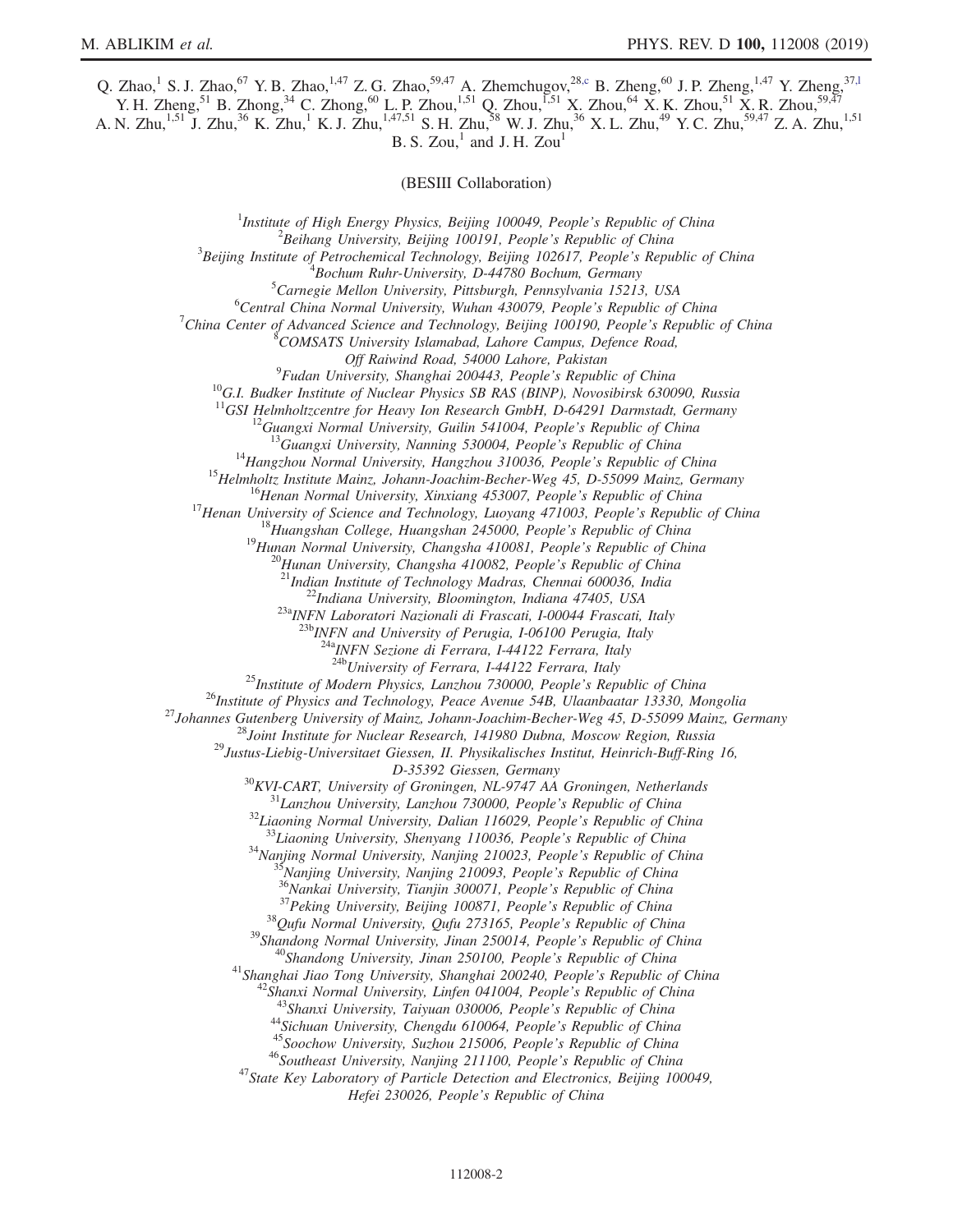Q. Zhao,<sup>1</sup> S. J. Zhao,<sup>67</sup> Y. B. Zhao,<sup>1,47</sup> Z. G. Zhao,<sup>59,47</sup> A. Zhemchugov,<sup>28[,c](#page-2-2)</sup> B. Zheng,<sup>60</sup> J. P. Zheng,<sup>1,47</sup> Y. Zheng,<sup>37,1</sup> Y. H. Zheng,<sup>51</sup> B. Zhong,<sup>34</sup> C. Zhong,<sup>60</sup> L. P. Zhou,<sup>1,51</sup> Q. Zhou,<sup>551</sup> X. Zhou,<sup>64</sup> X. K. Zhou,<sup>51</sup> X. R. Zhou,<sup>59,47</sup> A. N. Zhu,<sup>1,51</sup> J. Zhu,<sup>36</sup> K. Zhu,<sup>1</sup> K. J. Zhu,<sup>1,47,51</sup> S. H. Zhu,<sup>58</sup> W. J. Zhu,<sup>36</sup> X. L. Zhu,<sup>49</sup> Y. C. Zhu,<sup>59,47</sup> Z. A. Zhu,<sup>1,51</sup>

B. S. Zou, $<sup>1</sup>$  and J. H. Zou<sup>1</sup></sup>

(BESIII Collaboration)

<sup>1</sup>Institute of High Energy Physics, Beijing 100049, People's Republic of China  $\frac{2 \text{Poibana}}{2}$  $^2$ Beihang University, Beijing 100191, People's Republic of China  $3$ Beijing Institute of Petrochemical Technology, Beijing 102617, People's Republic of China  $^{4}$ Bochum Ruhr-University, D-44780 Bochum, Germany  ${}^{5}$ Carnegie Mellon University, Pittsburgh, Pennsylvania 15213, USA  ${}^{6}$ Central China Normal University, Wuhan 430079, People's Republic of China <sup>7</sup>China Center of Advanced Science and Technology, Beijing 100190, People's Republic of China COMSATS University Islamabad, Lahore Campus, Defence Road, Off Raiwind Road, 54000 Lahore, Pakistan<br><sup>9</sup>Fudan University, Shanghai 200443, People's Republic of China <sup>10</sup>G.I. Budker Institute of Nuclear Physics SB RAS (BINP), Novosibirsk 630090, Russia <sup>11</sup>GSI Helmholtzcentre for Heavy Ion Research GmbH, D-64291 Darmstadt, Germany <sup>11</sup>GSI Helmholtzcentre for Heavy Ion Research GmbH, D-64291 Darmstadt, Germany<br><sup>12</sup>Guangxi Normal University, Guilin 541004, People's Republic of China<br><sup>13</sup>Guangxi University, Nanning 530004, People's Republic of China<br><sup></sup>  $^{23b}$  INFN and University of Perugia, I-06100 Perugia, Italy <sup>a</sup>INFN Sezione di Ferrara, I-44122 Ferrara, Italy<br><sup>24b</sup>University of Ferrara, I-44122 Ferrara, Italy <sup>25</sup>Institute of Modern Physics, Lanzhou 730000, People's Republic of China<br><sup>26</sup>Institute of Physics and Technology, Peace Avenue 54B, Ulaanbaatar 13330, Mongolia<br><sup>27</sup>Johannes Gutenberg University of Mainz, Johann-Joachim  $D-35392$  Giessen, Germany<br>  $D-35392$  Giessen, Germany<br>  $^{31}L$ anzhou University, Dalian 116079747 AA Groningen, Netherlands<br>  $^{31}L$ anzhou University, Dalian 116029, People's Republic of China<br>  $^{33}L$ iaoning Normal Univ Hefei 230026, People's Republic of China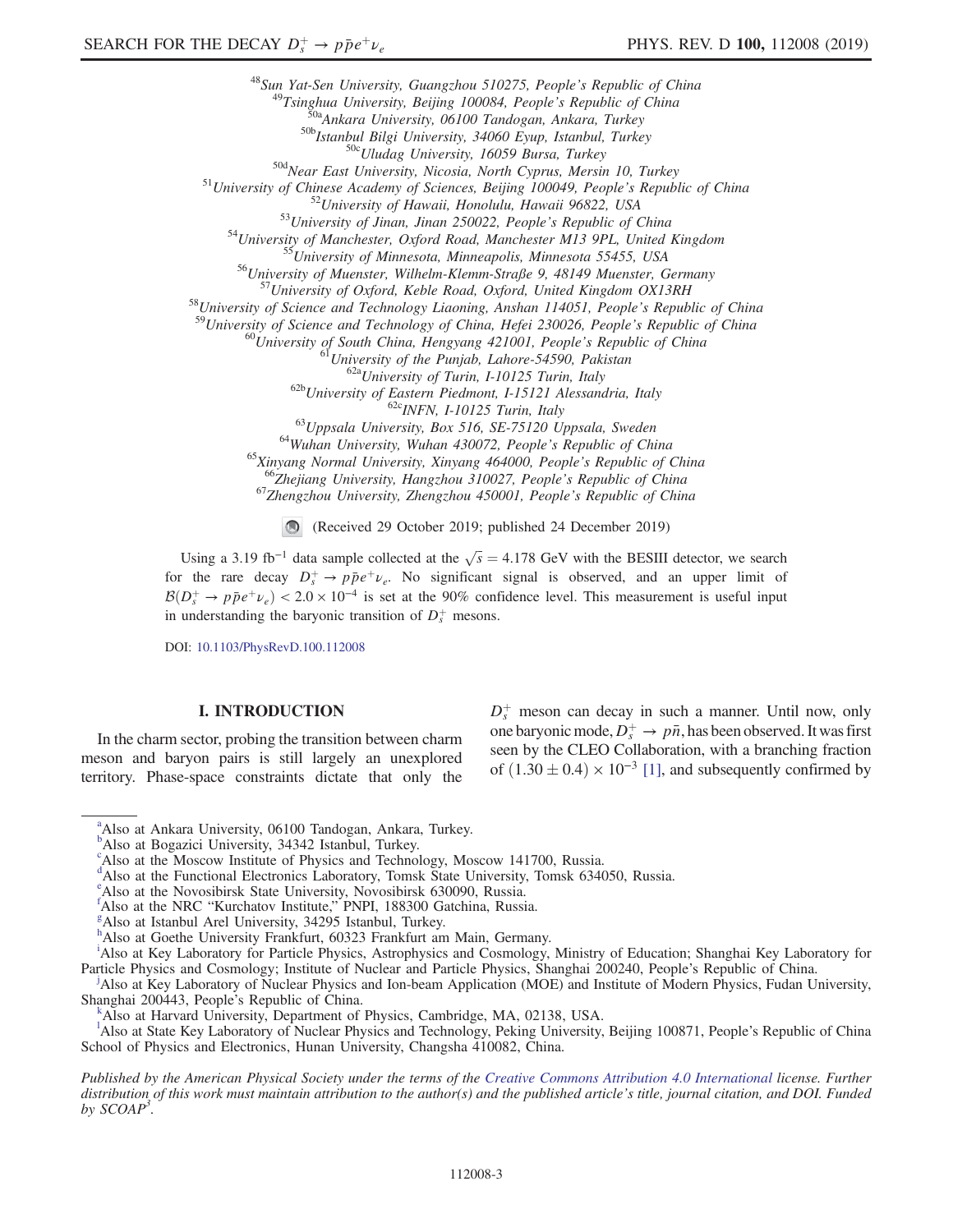<sup>48</sup>Sum Yat-Sen University, Guangzhou 510275, People's Republic of China<br><sup>49</sup>Tsinghua University, Beijing 100084, People's Republic of China<br><sup>49</sup>Tsinghua University, 06100 Tandogan, Ankara, Turkey<br><sup>50b</sup>Istanhul, Turkey<br><sup>5</sup>

<sup>60</sup>University of South China, Hengyang 421001, People's Republic of China<br><sup>61</sup>University of the Punjab, Lahore-54590, Pakistan<br><sup>62</sup>University of Eurin, I-10125 Turin, Italy<br><sup>62</sup>University of Eastern Piedmont, I-15121 Ale

(Received 29 October 2019; published 24 December 2019)

Using a 3.19 fb<sup>-1</sup> data sample collected at the  $\sqrt{s} = 4.178$  GeV with the BESIII detector, we search for the rare decay  $D_s^+ \rightarrow p\bar{p}e^+\nu_e$ . No significant signal is observed, and an upper limit of  $B(D_s^+ \to p\bar{p}e^+\nu_e) < 2.0 \times 10^{-4}$  is set at the 90% confidence level. This measurement is useful input in understanding the baryonic transition of  $D_s^+$  mesons.

DOI: [10.1103/PhysRevD.100.112008](https://doi.org/10.1103/PhysRevD.100.112008)

## I. INTRODUCTION

In the charm sector, probing the transition between charm meson and baryon pairs is still largely an unexplored territory. Phase-space constraints dictate that only the

 $D_s^+$  meson can decay in such a manner. Until now, only one baryonic mode,  $\overline{D_s^+} \to p\overline{n}$ , has been observed. It was first seen by the CLEO Collaboration, with a branching fraction of  $(1.30 \pm 0.4) \times 10^{-3}$  [\[1\],](#page-7-0) and subsequently confirmed by

Published by the American Physical Society under the terms of the [Creative Commons Attribution 4.0 International](https://creativecommons.org/licenses/by/4.0/) license. Further distribution of this work must maintain attribution to the author(s) and the published article's title, journal citation, and DOI. Funded by  $SCOAP<sup>3</sup>$ .

<span id="page-2-9"></span><sup>&</sup>lt;sup>[a](#page-0-0)</sup>Also at Ankara University, 06100 Tandogan, Ankara, Turkey.

<span id="page-2-10"></span><sup>&</sup>lt;sup>[b](#page-0-1)</sup>Also at Bogazici University, 34342 Istanbul, Turkey.

<span id="page-2-2"></span><sup>&</sup>lt;sup>[c](#page-0-2)</sup>Also at the Moscow Institute of Physics and Technology, Moscow 141700, Russia.

<sup>&</sup>lt;sup>d</sup>Also at the Functional Electronics Laboratory, Tomsk State University, Tomsk 634050, Russia.

<span id="page-2-0"></span>[e](#page-0-3) Also at the Novosibirsk State University, Novosibirsk 630090, Russia.

<span id="page-2-8"></span>[f](#page-0-4)<sup>1</sup>Also at the NRC "Kurchatov Institute," PNPI, 188300 Gatchina, Russia.

<span id="page-2-6"></span> ${}^g$ Also at Istanbul Arel University, 34295 Istanbul, Turkey.

<span id="page-2-5"></span>[h](#page-0-6) Also at Goethe University Frankfurt, 60323 Frankfurt am Main, Germany.

<span id="page-2-3"></span><sup>&</sup>lt;sup>[i](#page-0-7)</sup>Also at Key Laboratory for Particle Physics, Astrophysics and Cosmology, Ministry of Education; Shanghai Key Laboratory for Particle Physics and Cosmology; Institute of Nuclear and Particle Physics, Shanghai 200240, People's Republic of China.

<span id="page-2-4"></span>Also at Key Laboratory of Nuclear Physics and Ion-beam Application (MOE) and Institute of Modern Physics, Fudan University, Shanghai 200443, People's Republic of China. [k](#page-0-3)

Also at Harvard University, Department of Physics, Cambridge, MA, 02138, USA.

<span id="page-2-7"></span><span id="page-2-1"></span><sup>&</sup>lt;sup>1</sup>A[l](#page-0-1)so at State Key Laboratory of Nuclear Physics and Technology, Peking University, Beijing 100871, People's Republic of China School of Physics and Electronics, Hunan University, Changsha 410082, China.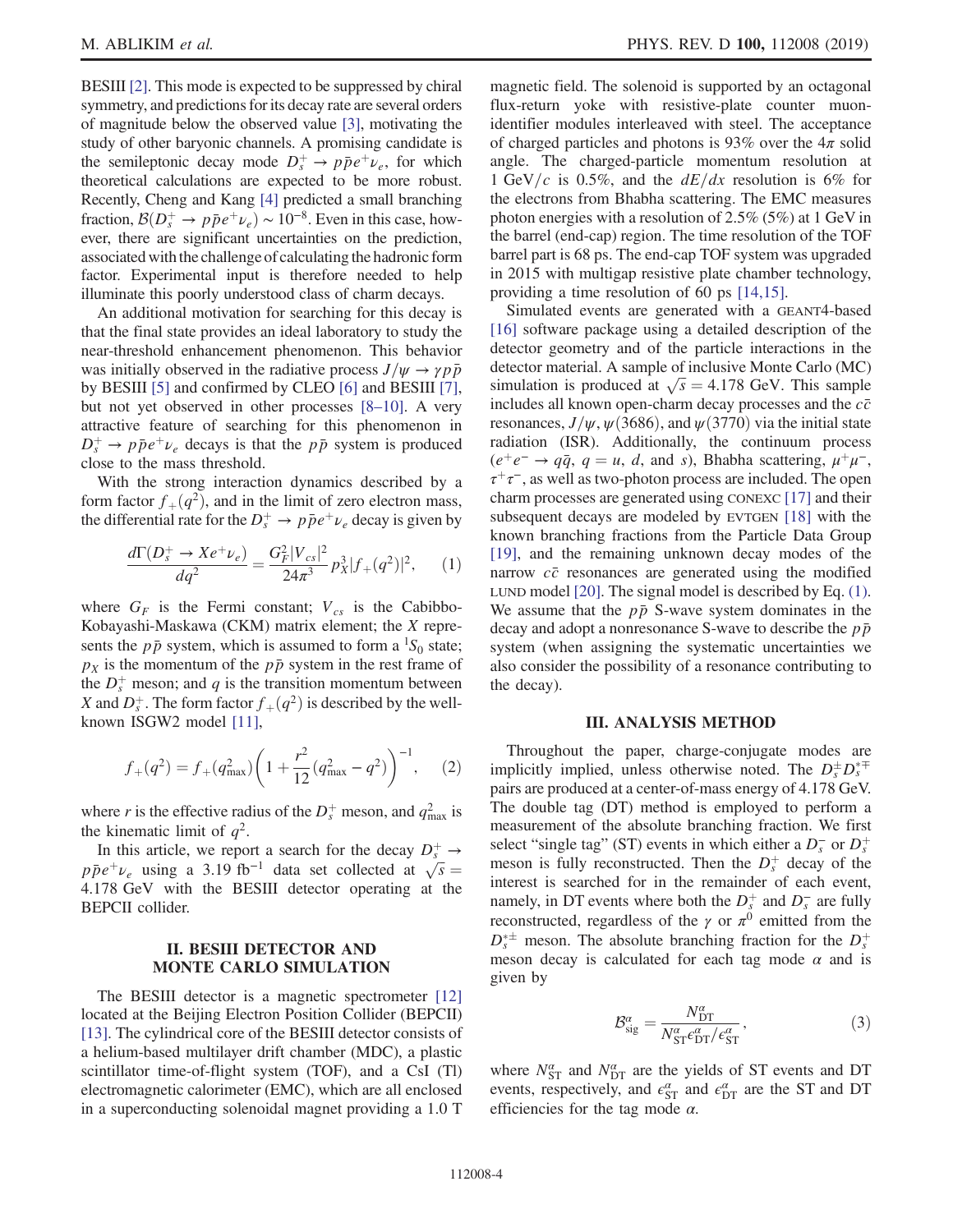BESIII [\[2\].](#page-7-1) This mode is expected to be suppressed by chiral symmetry, and predictions for its decay rate are several orders of magnitude below the observed value [\[3\],](#page-7-2) motivating the study of other baryonic channels. A promising candidate is the semileptonic decay mode  $D_s^+ \rightarrow p\bar{p}e^+\nu_e$ , for which theoretical calculations are expected to be more robust. Recently, Cheng and Kang [\[4\]](#page-7-3) predicted a small branching fraction,  $B(D_s^+ \rightarrow p\bar{p}e^+\nu_e) \sim 10^{-8}$ . Even in this case, however, there are significant uncertainties on the prediction, associated with the challenge of calculating the hadronic form factor. Experimental input is therefore needed to help illuminate this poorly understood class of charm decays.

An additional motivation for searching for this decay is that the final state provides an ideal laboratory to study the near-threshold enhancement phenomenon. This behavior was initially observed in the radiative process  $J/\psi \rightarrow \gamma p\bar{p}$ by BESIII [\[5\]](#page-7-4) and confirmed by CLEO [\[6\]](#page-7-5) and BESIII [\[7\]](#page-7-6), but not yet observed in other processes [8–[10\].](#page-7-7) A very attractive feature of searching for this phenomenon in  $D_s^+ \rightarrow p\bar{p}e^+\nu_e$  decays is that the  $p\bar{p}$  system is produced close to the mass threshold.

<span id="page-3-0"></span>With the strong interaction dynamics described by a form factor  $f_+(q^2)$ , and in the limit of zero electron mass, the differential rate for the  $D_s^+ \rightarrow p\bar{p}e^+\nu_e$  decay is given by

$$
\frac{d\Gamma(D_s^+ \to X e^+ \nu_e)}{dq^2} = \frac{G_F^2 |V_{cs}|^2}{24\pi^3} p_X^3 |f_+(q^2)|^2, \qquad (1)
$$

where  $G_F$  is the Fermi constant;  $V_{cs}$  is the Cabibbo-Kobayashi-Maskawa (CKM) matrix element; the X represents the  $p\bar{p}$  system, which is assumed to form a <sup>1</sup>S<sub>0</sub> state;  $p<sub>X</sub>$  is the momentum of the  $p\bar{p}$  system in the rest frame of the  $D_s^+$  meson; and q is the transition momentum between X and  $D_s^+$ . The form factor  $f_+(q^2)$  is described by the wellknown ISGW2 model [\[11\]](#page-7-8),

$$
f_{+}(q^{2}) = f_{+}(q_{\max}^{2}) \left(1 + \frac{r^{2}}{12}(q_{\max}^{2} - q^{2})\right)^{-1}, \quad (2)
$$

where r is the effective radius of the  $D_s^+$  meson, and  $q_{\text{max}}^2$  is the kinematic limit of  $q^2$ .

In this article, we report a search for the decay  $D_s^+ \rightarrow$  $p\bar{p}e^+\nu_e$  using a 3.19 fb<sup>-1</sup> data set collected at  $\sqrt{s}$  = 4.178 GeV with the BESIII detector operating at the BEPCII collider.

## II. BESIII DETECTOR AND MONTE CARLO SIMULATION

The BESIII detector is a magnetic spectrometer [\[12\]](#page-7-9) located at the Beijing Electron Position Collider (BEPCII) [\[13\]](#page-8-0). The cylindrical core of the BESIII detector consists of a helium-based multilayer drift chamber (MDC), a plastic scintillator time-of-flight system (TOF), and a CsI (Tl) electromagnetic calorimeter (EMC), which are all enclosed in a superconducting solenoidal magnet providing a 1.0 T magnetic field. The solenoid is supported by an octagonal flux-return yoke with resistive-plate counter muonidentifier modules interleaved with steel. The acceptance of charged particles and photons is 93% over the  $4\pi$  solid angle. The charged-particle momentum resolution at 1 GeV/c is 0.5%, and the  $dE/dx$  resolution is 6% for the electrons from Bhabha scattering. The EMC measures photon energies with a resolution of 2.5% (5%) at 1 GeV in the barrel (end-cap) region. The time resolution of the TOF barrel part is 68 ps. The end-cap TOF system was upgraded in 2015 with multigap resistive plate chamber technology, providing a time resolution of 60 ps [\[14,15\]](#page-8-1).

Simulated events are generated with a GEANT4-based [\[16\]](#page-8-2) software package using a detailed description of the detector geometry and of the particle interactions in the detector material. A sample of inclusive Monte Carlo (MC) simulation is produced at  $\sqrt{s} = 4.178 \text{ GeV}$ . This sample includes all known open-charm decay processes and the  $c\bar{c}$ resonances,  $J/\psi$ ,  $\psi$ (3686), and  $\psi$ (3770) via the initial state radiation (ISR). Additionally, the continuum process  $(e^+e^- \rightarrow q\bar{q}, q = u, d, \text{ and } s)$ , Bhabha scattering,  $\mu^+\mu^-$ ,  $\tau^+\tau^-$ , as well as two-photon process are included. The open charm processes are generated using CONEXC [\[17\]](#page-8-3) and their subsequent decays are modeled by EVTGEN [\[18\]](#page-8-4) with the known branching fractions from the Particle Data Group [\[19\]](#page-8-5), and the remaining unknown decay modes of the narrow  $c\bar{c}$  resonances are generated using the modified LUND model [\[20\]](#page-8-6). The signal model is described by Eq. [\(1\)](#page-3-0). We assume that the  $p\bar{p}$  S-wave system dominates in the decay and adopt a nonresonance S-wave to describe the  $p\bar{p}$ system (when assigning the systematic uncertainties we also consider the possibility of a resonance contributing to the decay).

### III. ANALYSIS METHOD

Throughout the paper, charge-conjugate modes are implicitly implied, unless otherwise noted. The  $D_s^{\pm}D_s^{*\mp}$ pairs are produced at a center-of-mass energy of 4.178 GeV. The double tag (DT) method is employed to perform a measurement of the absolute branching fraction. We first select "single tag" (ST) events in which either a  $D_s^-$  or  $D_s^+$ meson is fully reconstructed. Then the  $D_s^+$  decay of the interest is searched for in the remainder of each event, namely, in DT events where both the  $D_s^+$  and  $D_s^-$  are fully reconstructed, regardless of the  $\gamma$  or  $\pi^0$  emitted from the  $D_s^*$  meson. The absolute branching fraction for the  $D_s^+$ meson decay is calculated for each tag mode  $\alpha$  and is given by

$$
\mathcal{B}_{\text{sig}}^{\alpha} = \frac{N_{\text{DT}}^{\alpha}}{N_{\text{ST}}^{\alpha} \epsilon_{\text{DT}}^{\alpha} / \epsilon_{\text{ST}}^{\alpha}},\tag{3}
$$

where  $N_{\text{ST}}^{\alpha}$  and  $N_{\text{DT}}^{\alpha}$  are the yields of ST events and DT events, respectively, and  $\epsilon_{\text{ST}}^{\alpha}$  and  $\epsilon_{\text{DT}}^{\alpha}$  are the ST and DT efficiencies for the tag mode  $\alpha$ .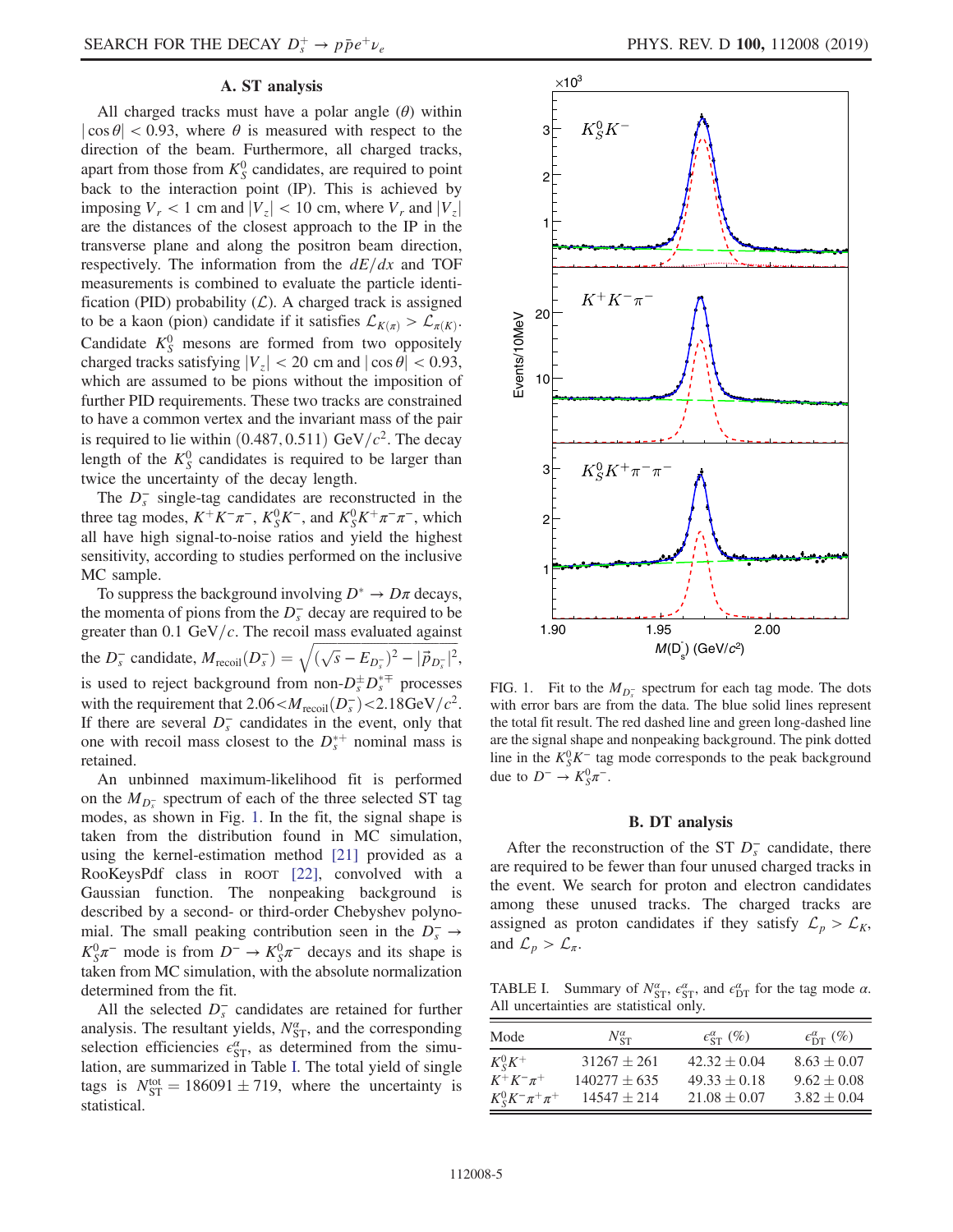## A. ST analysis

All charged tracks must have a polar angle  $(\theta)$  within  $|\cos \theta|$  < 0.93, where  $\theta$  is measured with respect to the direction of the beam. Furthermore, all charged tracks, apart from those from  $K_S^0$  candidates, are required to point back to the interaction point (IP). This is achieved by imposing  $V_r < 1$  cm and  $|V_z| < 10$  cm, where  $V_r$  and  $|V_z|$ are the distances of the closest approach to the IP in the transverse plane and along the positron beam direction, respectively. The information from the  $dE/dx$  and TOF measurements is combined to evaluate the particle identification (PID) probability  $(L)$ . A charged track is assigned to be a kaon (pion) candidate if it satisfies  $\mathcal{L}_{K(\pi)} > \mathcal{L}_{\pi(K)}$ . Candidate  $K_S^0$  mesons are formed from two oppositely charged tracks satisfying  $|V_z|$  < 20 cm and  $|\cos \theta|$  < 0.93, which are assumed to be pions without the imposition of further PID requirements. These two tracks are constrained to have a common vertex and the invariant mass of the pair is required to lie within  $(0.487, 0.511)$  GeV/ $c^2$ . The decay length of the  $K_S^0$  candidates is required to be larger than twice the uncertainty of the decay length.

The  $D_s^-$  single-tag candidates are reconstructed in the three tag modes,  $K^+K^-\pi^-$ ,  $K_S^0K^-$ , and  $K_S^0K^+\pi^-\pi^-$ , which all have high signal-to-noise ratios and yield the highest sensitivity, according to studies performed on the inclusive MC sample.

To suppress the background involving  $D^* \to D\pi$  decays, the momenta of pions from the  $D_s^-$  decay are required to be greater than 0.1 GeV/ $c$ . The recoil mass evaluated against the  $D_s^-$  candidate,  $M_{\text{recoil}}(D_s^-) = \sqrt{(\sqrt{s} - E_{D_s^-})^2 - |\vec{p}_{D_s^-}|^2}$ , is used to reject background from non- $D_s^{\pm} D_s^{*\mp}$  processes with the requirement that  $2.06 < M_{\text{recoil}}(D_s^-) < 2.18 \text{GeV}/c^2$ . If there are several  $D_s^-$  candidates in the event, only that one with recoil mass closest to the  $D_s^{*+}$  nominal mass is retained.

An unbinned maximum-likelihood fit is performed on the  $M_{D_5^-}$  spectrum of each of the three selected ST tag modes, as shown in Fig. [1.](#page-4-0) In the fit, the signal shape is taken from the distribution found in MC simulation, using the kernel-estimation method [\[21\]](#page-8-7) provided as a RooKeysPdf class in ROOT [\[22\]](#page-8-8), convolved with a Gaussian function. The nonpeaking background is described by a second- or third-order Chebyshev polynomial. The small peaking contribution seen in the  $D_s^- \rightarrow$  $K_S^0 \pi^-$  mode is from  $D^- \to K_S^0 \pi^-$  decays and its shape is taken from MC simulation, with the absolute normalization determined from the fit.

All the selected  $D_s^-$  candidates are retained for further analysis. The resultant yields,  $N_{ST}^{\alpha}$ , and the corresponding selection efficiencies  $\epsilon_{ST}^{\alpha}$ , as determined from the simulation, are summarized in Table [I.](#page-4-1) The total yield of single tags is  $N_{ST}^{tot} = 186091 \pm 719$ , where the uncertainty is statistical.

<span id="page-4-0"></span>

FIG. 1. Fit to the  $M_{D_5^-}$  spectrum for each tag mode. The dots with error bars are from the data. The blue solid lines represent the total fit result. The red dashed line and green long-dashed line are the signal shape and nonpeaking background. The pink dotted line in the  $K_S^0 K^-$  tag mode corresponds to the peak background due to  $D^-$  →  $K_S^0 \pi^-$ .

### B. DT analysis

After the reconstruction of the ST  $D_s^-$  candidate, there are required to be fewer than four unused charged tracks in the event. We search for proton and electron candidates among these unused tracks. The charged tracks are assigned as proton candidates if they satisfy  $\mathcal{L}_p > \mathcal{L}_K$ , and  $\mathcal{L}_p > \mathcal{L}_{\pi}$ .

<span id="page-4-1"></span>TABLE I. Summary of  $N_{ST}^{\alpha}$ ,  $\epsilon_{ST}^{\alpha}$ , and  $\epsilon_{DT}^{\alpha}$  for the tag mode  $\alpha$ . All uncertainties are statistical only.

| Mode                           | $N_{\rm ST}^{\alpha}$ | $\epsilon_{\rm ST}^{\alpha}$ (%) | $\epsilon_{\rm DT}^{\alpha}$ (%) |
|--------------------------------|-----------------------|----------------------------------|----------------------------------|
| $K^0_s K^+$                    | $31267 + 261$         | $42.32 \pm 0.04$                 | $8.63 \pm 0.07$                  |
| $K^+K^-\pi^+$                  | $140277 + 635$        | $49.33 \pm 0.18$                 | $9.62 \pm 0.08$                  |
| $K_{S}^{0}K^{-}\pi^{+}\pi^{+}$ | $14547 \pm 214$       | $21.08 \pm 0.07$                 | $3.82 \pm 0.04$                  |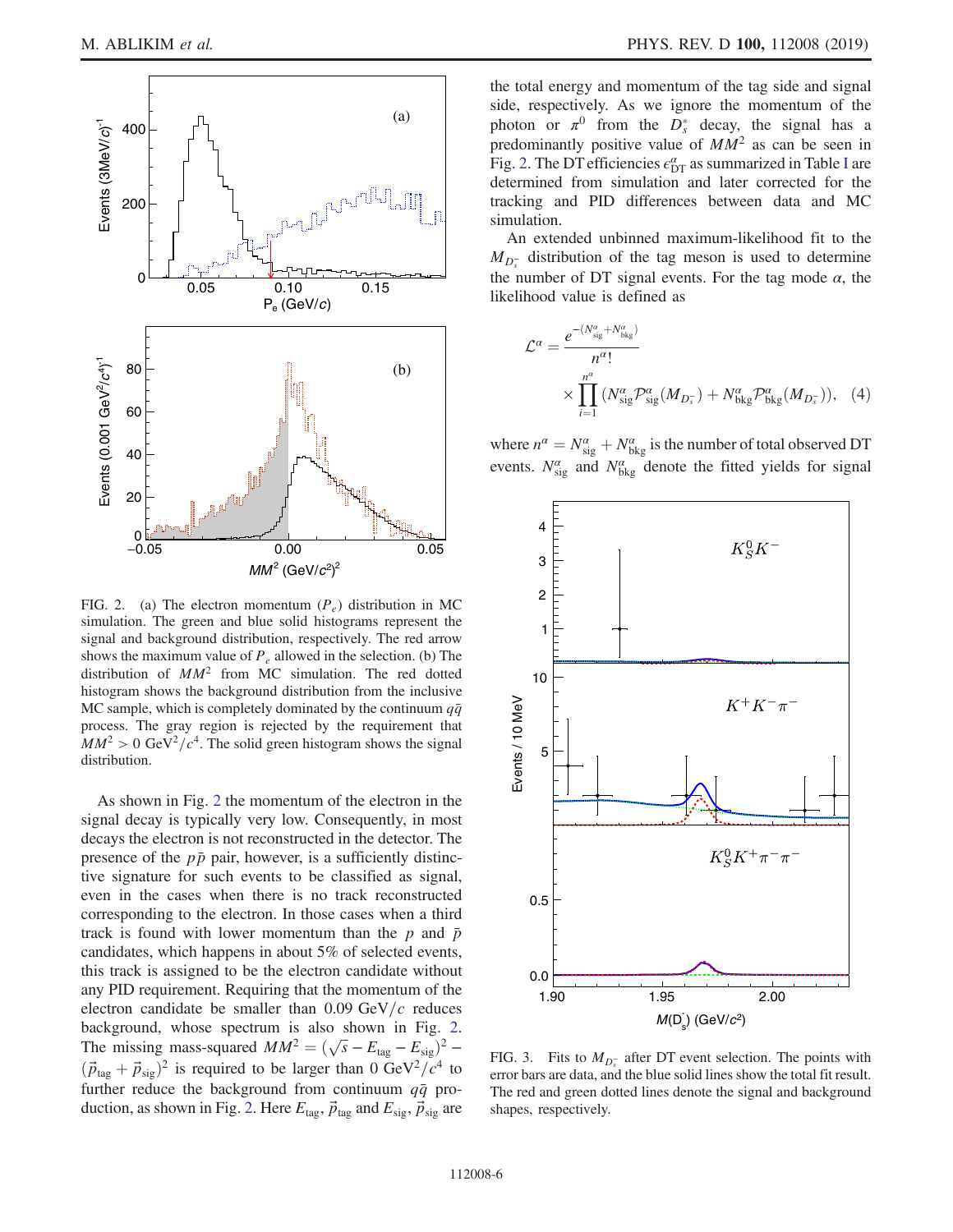<span id="page-5-0"></span>

FIG. 2. (a) The electron momentum  $(P_e)$  distribution in MC simulation. The green and blue solid histograms represent the signal and background distribution, respectively. The red arrow shows the maximum value of  $P_e$  allowed in the selection. (b) The distribution of  $MM^2$  from MC simulation. The red dotted histogram shows the background distribution from the inclusive MC sample, which is completely dominated by the continuum  $q\bar{q}$ process. The gray region is rejected by the requirement that  $MM^2 > 0$  GeV<sup>2</sup>/c<sup>4</sup>. The solid green histogram shows the signal distribution.

As shown in Fig. [2](#page-5-0) the momentum of the electron in the signal decay is typically very low. Consequently, in most decays the electron is not reconstructed in the detector. The presence of the  $p\bar{p}$  pair, however, is a sufficiently distinctive signature for such events to be classified as signal, even in the cases when there is no track reconstructed corresponding to the electron. In those cases when a third track is found with lower momentum than the p and  $\bar{p}$ candidates, which happens in about 5% of selected events, this track is assigned to be the electron candidate without any PID requirement. Requiring that the momentum of the electron candidate be smaller than  $0.09 \text{ GeV}/c$  reduces background, whose spectrum is also shown in Fig. [2](#page-5-0). The missing mass-squared  $MM^2 = (\sqrt{s} - E_{\text{tag}} - E_{\text{sig}})^2$  –  $(\vec{p}_{\text{tag}} + \vec{p}_{\text{sig}})^2$  is required to be larger than 0 GeV<sup>2</sup>/ $c^4$  to further reduce the background from continuum  $q\bar{q}$  pro-duction, as shown in Fig. [2](#page-5-0). Here  $E_{\text{tag}}$ ,  $\vec{p}_{\text{tag}}$  and  $E_{\text{sig}}$ ,  $\vec{p}_{\text{sig}}$  are the total energy and momentum of the tag side and signal side, respectively. As we ignore the momentum of the photon or  $\pi^0$  from the  $D_s^*$  decay, the signal has a predominantly positive value of  $MM^2$  as can be seen in Fig. [2.](#page-5-0) The DT efficiencies  $\epsilon_{\mathrm{DT}}^{\alpha}$  as summarized in Table [I](#page-4-1) are determined from simulation and later corrected for the tracking and PID differences between data and MC simulation.

An extended unbinned maximum-likelihood fit to the  $M_{D_s^-}$  distribution of the tag meson is used to determine the number of DT signal events. For the tag mode  $\alpha$ , the likelihood value is defined as

$$
\mathcal{L}^{\alpha} = \frac{e^{-(N_{\text{sig}}^{\alpha} + N_{\text{bkg}}^{\alpha})}}{n^{\alpha}!} \times \prod_{i=1}^{n^{\alpha}} \left( N_{\text{sig}}^{\alpha} \mathcal{P}_{\text{sig}}^{\alpha} (M_{D_s^{-}}) + N_{\text{bkg}}^{\alpha} \mathcal{P}_{\text{bkg}}^{\alpha} (M_{D_s^{-}}) \right), \quad (4)
$$

where  $n^{\alpha} = N^{\alpha}_{\text{sig}} + N^{\alpha}_{\text{bkg}}$  is the number of total observed DT events.  $N_{\text{sig}}^{\alpha}$  and  $N_{\text{bkg}}^{\alpha}$  denote the fitted yields for signal

<span id="page-5-1"></span>

FIG. 3. Fits to  $M_{D_5^-}$  after DT event selection. The points with error bars are data, and the blue solid lines show the total fit result. The red and green dotted lines denote the signal and background shapes, respectively.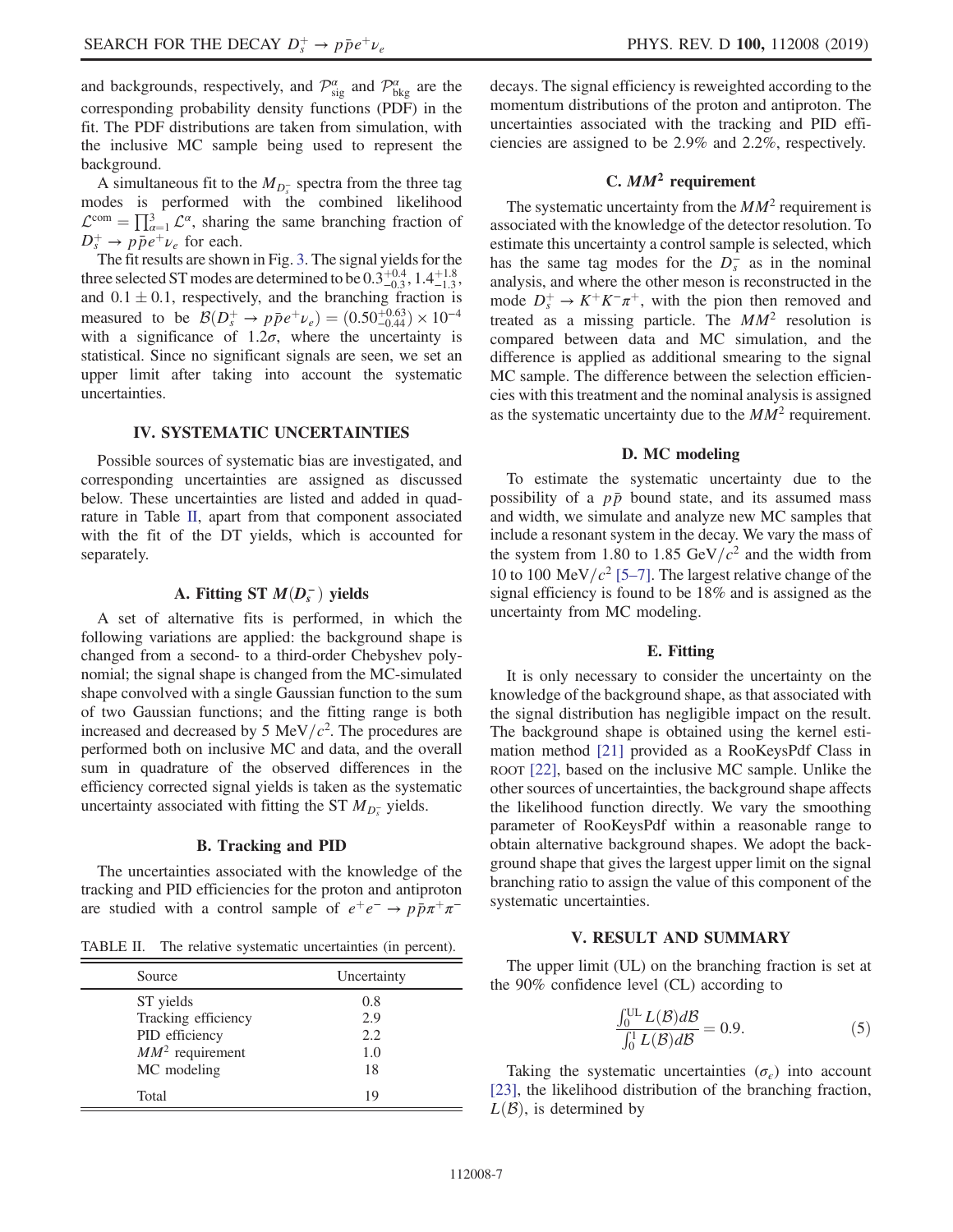A simultaneous fit to the  $M_{D_5^-}$  spectra from the three tag modes is performed with the combined likelihood  $\mathcal{L}^{\text{com}} = \prod_{\alpha=1}^{3} \mathcal{L}^{\alpha}$ , sharing the same branching fraction of  $D_s^+ \rightarrow p\bar{p}e^+\nu_e$  for each.

The fit results are shown in Fig. [3.](#page-5-1) The signal yields for the three selected ST modes are determined to be  $0.3^{+0.4}_{-0.3}$ ,  $1.4^{+1.8}_{-1.3}$ , and  $0.1 \pm 0.1$ , respectively, and the branching fraction is measured to be  $\mathcal{B}(D_s^+ \to p\bar{p}e^+\nu_e) = (0.50^{+0.63}_{-0.44}) \times 10^{-4}$ with a significance of  $1.2\sigma$ , where the uncertainty is statistical. Since no significant signals are seen, we set an upper limit after taking into account the systematic uncertainties.

## IV. SYSTEMATIC UNCERTAINTIES

Possible sources of systematic bias are investigated, and corresponding uncertainties are assigned as discussed below. These uncertainties are listed and added in quadrature in Table [II](#page-6-0), apart from that component associated with the fit of the DT yields, which is accounted for separately.

# A. Fitting ST  $M(D<sub>s</sub><sup>-</sup>)$  yields

A set of alternative fits is performed, in which the following variations are applied: the background shape is changed from a second- to a third-order Chebyshev polynomial; the signal shape is changed from the MC-simulated shape convolved with a single Gaussian function to the sum of two Gaussian functions; and the fitting range is both increased and decreased by 5 MeV/ $c^2$ . The procedures are performed both on inclusive MC and data, and the overall sum in quadrature of the observed differences in the efficiency corrected signal yields is taken as the systematic uncertainty associated with fitting the ST  $M_{D_s^-}$  yields.

### B. Tracking and PID

The uncertainties associated with the knowledge of the tracking and PID efficiencies for the proton and antiproton are studied with a control sample of  $e^+e^- \rightarrow p\bar{p}\pi^+\pi^-$ 

<span id="page-6-0"></span>TABLE II. The relative systematic uncertainties (in percent).

| Source              | Uncertainty |  |
|---------------------|-------------|--|
| ST yields           | 0.8         |  |
| Tracking efficiency | 2.9         |  |
| PID efficiency      | 2.2         |  |
| $MM^2$ requirement  | 1.0         |  |
| MC modeling         | 18          |  |
| Total               | 19          |  |

decays. The signal efficiency is reweighted according to the momentum distributions of the proton and antiproton. The uncertainties associated with the tracking and PID efficiencies are assigned to be 2.9% and 2.2%, respectively.

## C.  $MM^2$  requirement

The systematic uncertainty from the  $MM^2$  requirement is associated with the knowledge of the detector resolution. To estimate this uncertainty a control sample is selected, which has the same tag modes for the  $D_s^-$  as in the nominal analysis, and where the other meson is reconstructed in the mode  $D_s^+ \to K^+ K^- \pi^+$ , with the pion then removed and treated as a missing particle. The  $MM^2$  resolution is compared between data and MC simulation, and the difference is applied as additional smearing to the signal MC sample. The difference between the selection efficiencies with this treatment and the nominal analysis is assigned as the systematic uncertainty due to the  $MM^2$  requirement.

### D. MC modeling

To estimate the systematic uncertainty due to the possibility of a  $p\bar{p}$  bound state, and its assumed mass and width, we simulate and analyze new MC samples that include a resonant system in the decay. We vary the mass of the system from 1.80 to 1.85 GeV/ $c^2$  and the width from 10 to 100 MeV/ $c^2$  [\[5](#page-7-4)–7]. The largest relative change of the signal efficiency is found to be 18% and is assigned as the uncertainty from MC modeling.

#### E. Fitting

It is only necessary to consider the uncertainty on the knowledge of the background shape, as that associated with the signal distribution has negligible impact on the result. The background shape is obtained using the kernel estimation method [\[21\]](#page-8-7) provided as a RooKeysPdf Class in ROOT [\[22\],](#page-8-8) based on the inclusive MC sample. Unlike the other sources of uncertainties, the background shape affects the likelihood function directly. We vary the smoothing parameter of RooKeysPdf within a reasonable range to obtain alternative background shapes. We adopt the background shape that gives the largest upper limit on the signal branching ratio to assign the value of this component of the systematic uncertainties.

#### V. RESULT AND SUMMARY

The upper limit (UL) on the branching fraction is set at the 90% confidence level (CL) according to

$$
\frac{\int_0^{UL} L(\mathcal{B}) d\mathcal{B}}{\int_0^1 L(\mathcal{B}) d\mathcal{B}} = 0.9.
$$
 (5)

Taking the systematic uncertainties  $(\sigma_e)$  into account [\[23\]](#page-8-9), the likelihood distribution of the branching fraction,  $L(\mathcal{B})$ , is determined by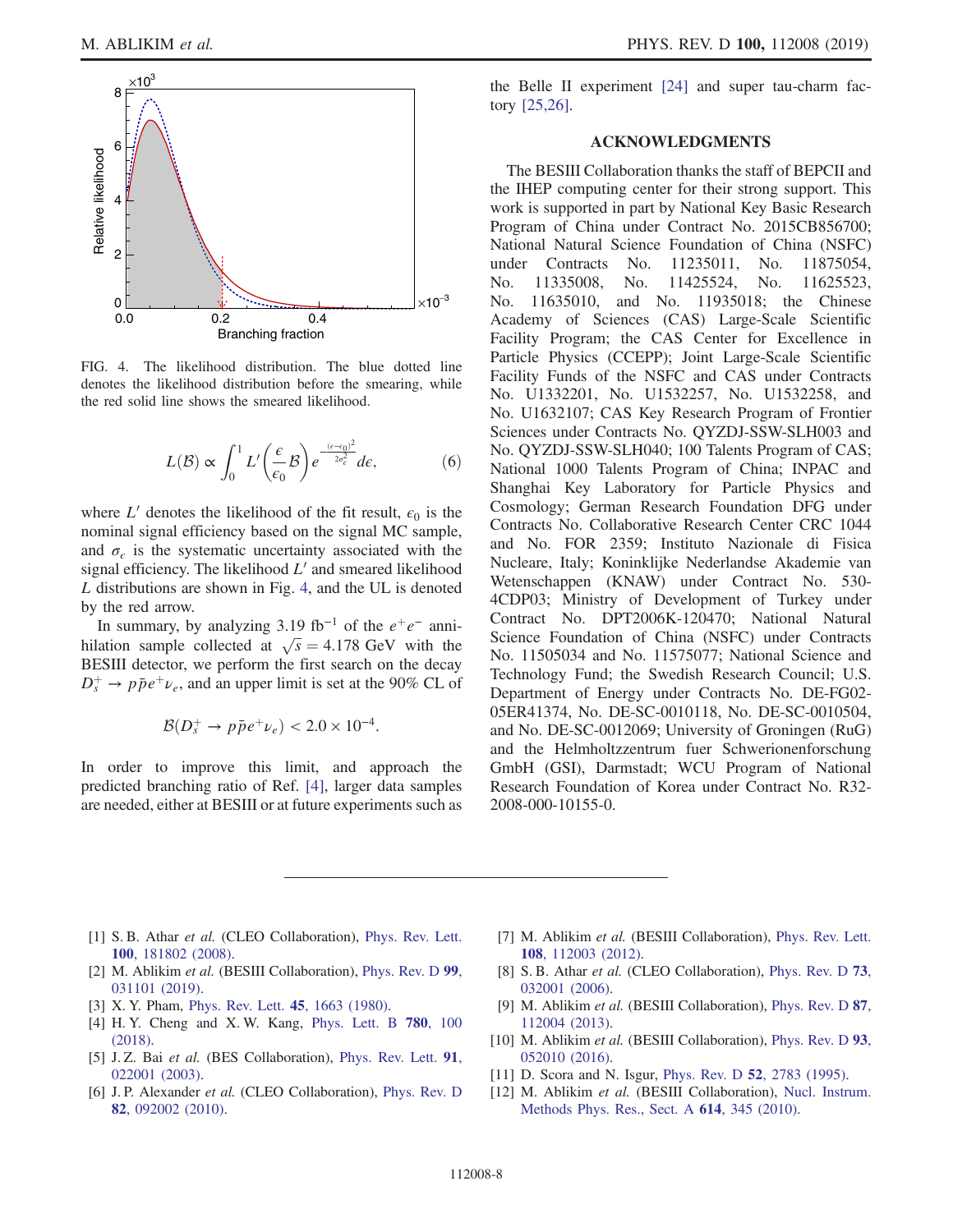<span id="page-7-10"></span>

FIG. 4. The likelihood distribution. The blue dotted line denotes the likelihood distribution before the smearing, while the red solid line shows the smeared likelihood.

$$
L(\mathcal{B}) \propto \int_0^1 L' \left(\frac{\epsilon}{\epsilon_0} \mathcal{B}\right) e^{-\frac{(\epsilon - \epsilon_0)^2}{2\sigma_{\epsilon}^2}} d\epsilon,\tag{6}
$$

where L' denotes the likelihood of the fit result,  $\epsilon_0$  is the nominal signal efficiency based on the signal MC sample, and  $\sigma_{\epsilon}$  is the systematic uncertainty associated with the signal efficiency. The likelihood  $L'$  and smeared likelihood L distributions are shown in Fig. [4,](#page-7-10) and the UL is denoted by the red arrow.

In summary, by analyzing 3.19 fb<sup>-1</sup> of the  $e^+e^-$  annihilation sample collected at  $\sqrt{s} = 4.178$  GeV with the BESIII detector, we perform the first search on the decay  $D_s^+ \rightarrow p\bar{p}e^+\nu_e$ , and an upper limit is set at the 90% CL of

$$
\mathcal{B}(D_s^+ \to p\bar{p}e^+\nu_e) < 2.0 \times 10^{-4}.
$$

In order to improve this limit, and approach the predicted branching ratio of Ref. [\[4\]](#page-7-3), larger data samples are needed, either at BESIII or at future experiments such as the Belle II experiment [\[24\]](#page-8-10) and super tau-charm factory [\[25,26\].](#page-8-11)

### ACKNOWLEDGMENTS

The BESIII Collaboration thanks the staff of BEPCII and the IHEP computing center for their strong support. This work is supported in part by National Key Basic Research Program of China under Contract No. 2015CB856700; National Natural Science Foundation of China (NSFC) under Contracts No. 11235011, No. 11875054, No. 11335008, No. 11425524, No. 11625523, No. 11635010, and No. 11935018; the Chinese Academy of Sciences (CAS) Large-Scale Scientific Facility Program; the CAS Center for Excellence in Particle Physics (CCEPP); Joint Large-Scale Scientific Facility Funds of the NSFC and CAS under Contracts No. U1332201, No. U1532257, No. U1532258, and No. U1632107; CAS Key Research Program of Frontier Sciences under Contracts No. QYZDJ-SSW-SLH003 and No. QYZDJ-SSW-SLH040; 100 Talents Program of CAS; National 1000 Talents Program of China; INPAC and Shanghai Key Laboratory for Particle Physics and Cosmology; German Research Foundation DFG under Contracts No. Collaborative Research Center CRC 1044 and No. FOR 2359; Instituto Nazionale di Fisica Nucleare, Italy; Koninklijke Nederlandse Akademie van Wetenschappen (KNAW) under Contract No. 530- 4CDP03; Ministry of Development of Turkey under Contract No. DPT2006K-120470; National Natural Science Foundation of China (NSFC) under Contracts No. 11505034 and No. 11575077; National Science and Technology Fund; the Swedish Research Council; U.S. Department of Energy under Contracts No. DE-FG02- 05ER41374, No. DE-SC-0010118, No. DE-SC-0010504, and No. DE-SC-0012069; University of Groningen (RuG) and the Helmholtzzentrum fuer Schwerionenforschung GmbH (GSI), Darmstadt; WCU Program of National Research Foundation of Korea under Contract No. R32- 2008-000-10155-0.

- <span id="page-7-0"></span>[1] S. B. Athar et al. (CLEO Collaboration), [Phys. Rev. Lett.](https://doi.org/10.1103/PhysRevLett.100.181802) 100[, 181802 \(2008\).](https://doi.org/10.1103/PhysRevLett.100.181802)
- <span id="page-7-1"></span>[2] M. Ablikim et al. (BESIII Collaboration), [Phys. Rev. D](https://doi.org/10.1103/PhysRevD.99.031101) 99, [031101 \(2019\).](https://doi.org/10.1103/PhysRevD.99.031101)
- <span id="page-7-2"></span>[3] X. Y. Pham, [Phys. Rev. Lett.](https://doi.org/10.1103/PhysRevLett.45.1663) **45**, 1663 (1980).
- <span id="page-7-3"></span>[4] H. Y. Cheng and X. W. Kang, [Phys. Lett. B](https://doi.org/10.1016/j.physletb.2018.02.060) 780, 100 [\(2018\).](https://doi.org/10.1016/j.physletb.2018.02.060)
- <span id="page-7-4"></span>[5] J. Z. Bai et al. (BES Collaboration), [Phys. Rev. Lett.](https://doi.org/10.1103/PhysRevLett.91.022001) 91, [022001 \(2003\).](https://doi.org/10.1103/PhysRevLett.91.022001)
- <span id="page-7-5"></span>[6] J. P. Alexander et al. (CLEO Collaboration), [Phys. Rev. D](https://doi.org/10.1103/PhysRevD.82.092002) 82[, 092002 \(2010\).](https://doi.org/10.1103/PhysRevD.82.092002)
- <span id="page-7-6"></span>[7] M. Ablikim et al. (BESIII Collaboration), [Phys. Rev. Lett.](https://doi.org/10.1103/PhysRevLett.108.112003) 108[, 112003 \(2012\).](https://doi.org/10.1103/PhysRevLett.108.112003)
- <span id="page-7-7"></span>[8] S. B. Athar et al. (CLEO Collaboration), [Phys. Rev. D](https://doi.org/10.1103/PhysRevD.73.032001) 73, [032001 \(2006\).](https://doi.org/10.1103/PhysRevD.73.032001)
- [9] M. Ablikim et al. (BESIII Collaboration), [Phys. Rev. D](https://doi.org/10.1103/PhysRevD.87.112004) 87, [112004 \(2013\).](https://doi.org/10.1103/PhysRevD.87.112004)
- [10] M. Ablikim et al. (BESIII Collaboration), [Phys. Rev. D](https://doi.org/10.1103/PhysRevD.93.052010) 93, [052010 \(2016\).](https://doi.org/10.1103/PhysRevD.93.052010)
- <span id="page-7-8"></span>[11] D. Scora and N. Isgur, Phys. Rev. D **52**[, 2783 \(1995\)](https://doi.org/10.1103/PhysRevD.52.2783).
- <span id="page-7-9"></span>[12] M. Ablikim et al. (BESIII Collaboration), [Nucl. Instrum.](https://doi.org/10.1016/j.nima.2009.12.050) [Methods Phys. Res., Sect. A](https://doi.org/10.1016/j.nima.2009.12.050) 614, 345 (2010).